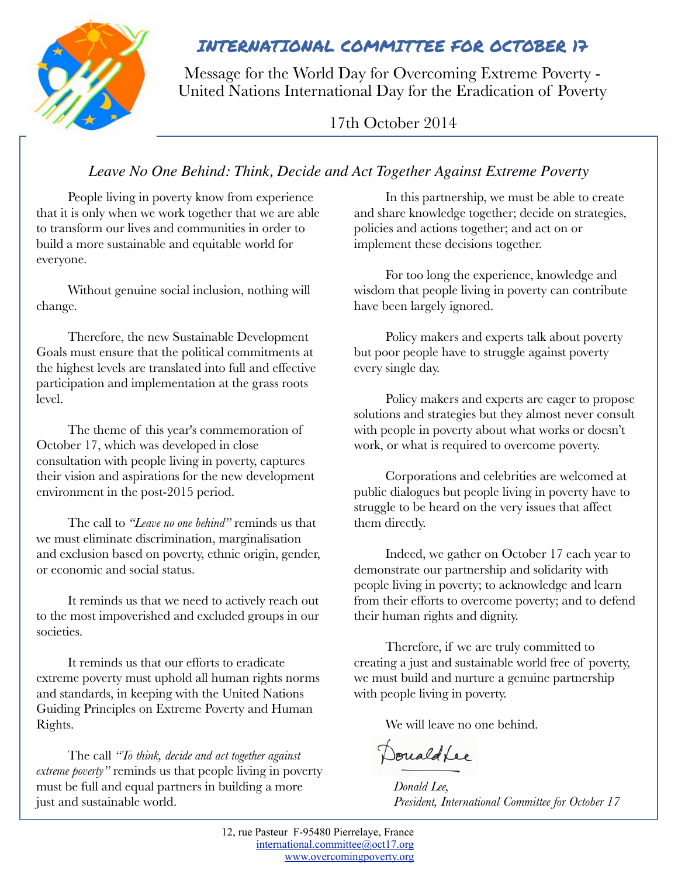

## INTERNATIONAL COMMITTEE FOR OCTOBER 17

Message for the World Day for Overcoming Extreme Poverty - United Nations International Day for the Eradication of Poverty

17th October 2014

### *Leave No One Behind: Think, Decide and Act Together Against Extreme Poverty*

People living in poverty know from experience that it is only when we work together that we are able to transform our lives and communities in order to build a more sustainable and equitable world for everyone.

Without genuine social inclusion, nothing will change.

Therefore, the new Sustainable Development Goals must ensure that the political commitments at the highest levels are translated into full and effective participation and implementation at the grass roots level.

The theme of this year's commemoration of October 17, which was developed in close consultation with people living in poverty, captures their vision and aspirations for the new development environment in the post-2015 period.

The call to *"Leave no one behind"* reminds us that we must eliminate discrimination, marginalisation and exclusion based on poverty, ethnic origin, gender, or economic and social status.

It reminds us that we need to actively reach out to the most impoverished and excluded groups in our societies.

It reminds us that our efforts to eradicate extreme poverty must uphold all human rights norms and standards, in keeping with the United Nations Guiding Principles on Extreme Poverty and Human Rights.

The call *"To think, decide and act together against extreme poverty"* reminds us that people living in poverty must be full and equal partners in building a more just and sustainable world.

In this partnership, we must be able to create and share knowledge together; decide on strategies, policies and actions together; and act on or implement these decisions together.

For too long the experience, knowledge and wisdom that people living in poverty can contribute have been largely ignored.

Policy makers and experts talk about poverty but poor people have to struggle against poverty every single day.

Policy makers and experts are eager to propose solutions and strategies but they almost never consult with people in poverty about what works or doesn't work, or what is required to overcome poverty.

Corporations and celebrities are welcomed at public dialogues but people living in poverty have to struggle to be heard on the very issues that affect them directly.

Indeed, we gather on October 17 each year to demonstrate our partnership and solidarity with people living in poverty; to acknowledge and learn from their efforts to overcome poverty; and to defend their human rights and dignity.

Therefore, if we are truly committed to creating a just and sustainable world free of poverty, we must build and nurture a genuine partnership with people living in poverty.

We will leave no one behind.

Donald Lee

*Donald Lee, President, International Committee for October 17*